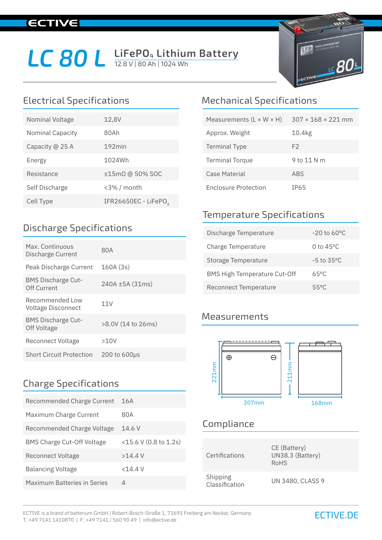# **IECTIVE**

# LC 80 L LiFePO<sub>4</sub> Lithium Battery



| Nominal Voltage  | 12,8V                         |
|------------------|-------------------------------|
| Nominal Capacity | 80Ah                          |
| Capacity @ 25 A  | $192$ min                     |
| Energy           | 1024Wh                        |
| Resistance       | $\leq$ 15m $\Omega$ @ 50% SOC |
| Self Discharge   | <3% / month                   |
| Cell Type        | IFR26650EC - LiFePO           |

### Discharge Specifications

| Max. Continuous<br>Discharge Current     | 80A                  |
|------------------------------------------|----------------------|
| Peak Discharge Current                   | 160A(3s)             |
| <b>BMS Discharge Cut-</b><br>Off Current | $240A \pm 5A (31ms)$ |
| Recommended Low<br>Voltage Disconnect    | 11V                  |
| <b>BMS Discharge Cut-</b><br>Off Voltage | >8.0V (14 to 26ms)   |
| <b>Reconnect Voltage</b>                 | >10V                 |
| <b>Short Circuit Protection</b>          | 200 to 600µs         |

### Charge Specifications

| Recommended Charge Current         | 16A                   |
|------------------------------------|-----------------------|
| Maximum Charge Current             | 80A                   |
| Recommended Charge Voltage         | 14.6V                 |
| <b>BMS Charge Cut-Off Voltage</b>  | <15.6 V (0.8 to 1.2s) |
| Reconnect Voltage                  | $>14.4$ V             |
| <b>Balancing Voltage</b>           | $<$ 14.4 V            |
| <b>Maximum Batteries in Series</b> | 4                     |

# Electrical Specifications Mechanical Specifications

| Measurements ( $L \times W \times H$ ) | $307 \times 168 \times 221$ mm |
|----------------------------------------|--------------------------------|
| Approx. Weight                         | 10.4kg                         |
| <b>Terminal Type</b>                   | F2                             |
| <b>Terminal Torque</b>                 | 9 to 11 N m                    |
| Case Material                          | <b>ABS</b>                     |
| <b>Enclosure Protection</b>            | TP65                           |

## Temperature Specifications

| Discharge Temperature               | $-20$ to 60 $^{\circ}$ C |
|-------------------------------------|--------------------------|
| Charge Temperature                  | 0 to $45^{\circ}$ C      |
| Storage Temperature                 | $-5$ to $35^{\circ}$ C   |
| <b>BMS High Temperature Cut-Off</b> | 65°C                     |
| Reconnect Temperature               | 55°C                     |

#### **Measurements**



# Compliance

| Certifications             | CE (Battery)<br>UN38.3 (Battery)<br>RoHS |
|----------------------------|------------------------------------------|
| Shipping<br>Classification | <b>UN 3480, CLASS 9</b>                  |